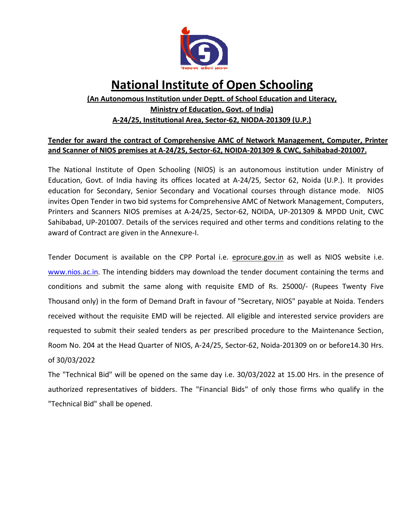

# National Institute of Open Schooling

## (An Autonomous Institution under Deptt. of School Education and Literacy, Ministry of Education, Govt. of India) A-24/25, Institutional Area, Sector-62, NIODA-201309 (U.P.)

## Tender for award the contract of Comprehensive AMC of Network Management, Computer, Printer and Scanner of NIOS premises at A-24/25, Sector-62, NOIDA-201309 & CWC, Sahibabad-201007.

The National Institute of Open Schooling (NIOS) is an autonomous institution under Ministry of Education, Govt. of India having its offices located at A-24/25, Sector 62, Noida (U.P.). It provides education for Secondary, Senior Secondary and Vocational courses through distance mode. NIOS invites Open Tender in two bid systems for Comprehensive AMC of Network Management, Computers, Printers and Scanners NIOS premises at A-24/25, Sector-62, NOIDA, UP-201309 & MPDD Unit, CWC Sahibabad, UP-201007. Details of the services required and other terms and conditions relating to the award of Contract are given in the Annexure-I.

Tender Document is available on the CPP Portal i.e. eprocure.gov.in as well as NIOS website i.e. www.nios.ac.in. The intending bidders may download the tender document containing the terms and conditions and submit the same along with requisite EMD of Rs. 25000/- (Rupees Twenty Five Thousand only) in the form of Demand Draft in favour of "Secretary, NIOS" payable at Noida. Tenders received without the requisite EMD will be rejected. All eligible and interested service providers are requested to submit their sealed tenders as per prescribed procedure to the Maintenance Section, Room No. 204 at the Head Quarter of NIOS, A-24/25, Sector-62, Noida-201309 on or before14.30 Hrs. of 30/03/2022

The "Technical Bid" will be opened on the same day i.e. 30/03/2022 at 15.00 Hrs. in the presence of authorized representatives of bidders. The "Financial Bids" of only those firms who qualify in the "Technical Bid" shall be opened.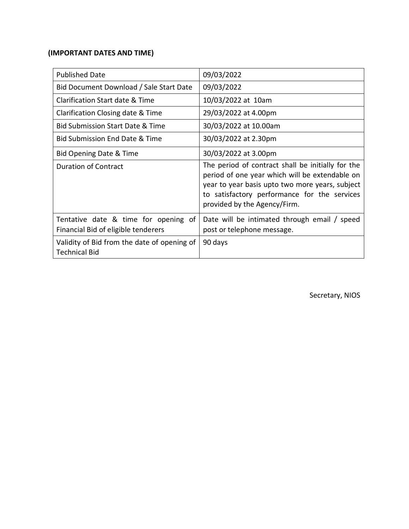## (IMPORTANT DATES AND TIME)

| <b>Published Date</b>                                                       | 09/03/2022                                                                                                                                                                                                                             |
|-----------------------------------------------------------------------------|----------------------------------------------------------------------------------------------------------------------------------------------------------------------------------------------------------------------------------------|
| Bid Document Download / Sale Start Date                                     | 09/03/2022                                                                                                                                                                                                                             |
| Clarification Start date & Time                                             | 10/03/2022 at 10am                                                                                                                                                                                                                     |
| Clarification Closing date & Time                                           | 29/03/2022 at 4.00pm                                                                                                                                                                                                                   |
| <b>Bid Submission Start Date &amp; Time</b>                                 | 30/03/2022 at 10.00am                                                                                                                                                                                                                  |
| Bid Submission End Date & Time                                              | 30/03/2022 at 2.30pm                                                                                                                                                                                                                   |
| Bid Opening Date & Time                                                     | 30/03/2022 at 3.00pm                                                                                                                                                                                                                   |
| <b>Duration of Contract</b>                                                 | The period of contract shall be initially for the<br>period of one year which will be extendable on<br>year to year basis upto two more years, subject<br>to satisfactory performance for the services<br>provided by the Agency/Firm. |
| Tentative date & time for opening of<br>Financial Bid of eligible tenderers | Date will be intimated through email / speed<br>post or telephone message.                                                                                                                                                             |
| Validity of Bid from the date of opening of<br><b>Technical Bid</b>         | 90 days                                                                                                                                                                                                                                |

Secretary, NIOS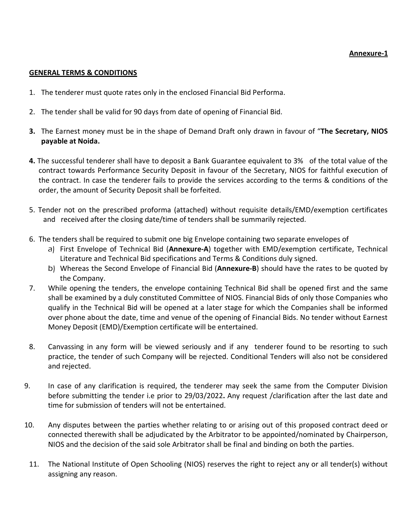#### Annexure-1

#### GENERAL TERMS & CONDITIONS

- 1. The tenderer must quote rates only in the enclosed Financial Bid Performa.
- 2. The tender shall be valid for 90 days from date of opening of Financial Bid.
- 3. The Earnest money must be in the shape of Demand Draft only drawn in favour of "The Secretary, NIOS payable at Noida.
- 4. The successful tenderer shall have to deposit a Bank Guarantee equivalent to 3% of the total value of the contract towards Performance Security Deposit in favour of the Secretary, NIOS for faithful execution of the contract. In case the tenderer fails to provide the services according to the terms & conditions of the order, the amount of Security Deposit shall be forfeited.
- 5. Tender not on the prescribed proforma (attached) without requisite details/EMD/exemption certificates and received after the closing date/time of tenders shall be summarily rejected.
- 6. The tenders shall be required to submit one big Envelope containing two separate envelopes of
	- a) First Envelope of Technical Bid (Annexure-A) together with EMD/exemption certificate, Technical Literature and Technical Bid specifications and Terms & Conditions duly signed.
	- b) Whereas the Second Envelope of Financial Bid (Annexure-B) should have the rates to be quoted by the Company.
- 7. While opening the tenders, the envelope containing Technical Bid shall be opened first and the same shall be examined by a duly constituted Committee of NIOS. Financial Bids of only those Companies who qualify in the Technical Bid will be opened at a later stage for which the Companies shall be informed over phone about the date, time and venue of the opening of Financial Bids. No tender without Earnest Money Deposit (EMD)/Exemption certificate will be entertained.
- 8. Canvassing in any form will be viewed seriously and if any tenderer found to be resorting to such practice, the tender of such Company will be rejected. Conditional Tenders will also not be considered and rejected.
- 9. In case of any clarification is required, the tenderer may seek the same from the Computer Division before submitting the tender i.e prior to 29/03/2022. Any request /clarification after the last date and time for submission of tenders will not be entertained.
- 10. Any disputes between the parties whether relating to or arising out of this proposed contract deed or connected therewith shall be adjudicated by the Arbitrator to be appointed/nominated by Chairperson, NIOS and the decision of the said sole Arbitrator shall be final and binding on both the parties.
- 11. The National Institute of Open Schooling (NIOS) reserves the right to reject any or all tender(s) without assigning any reason.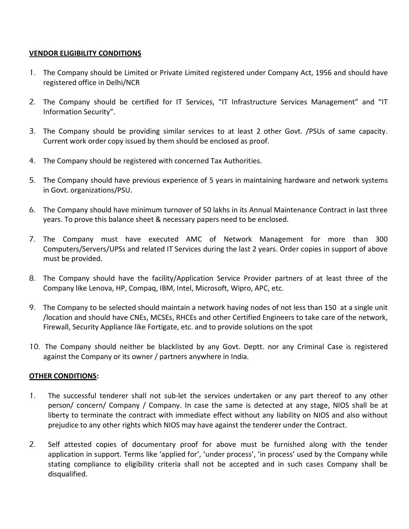### VENDOR ELIGIBILITY CONDITIONS

- 1. The Company should be Limited or Private Limited registered under Company Act, 1956 and should have registered office in Delhi/NCR
- 2. The Company should be certified for IT Services, "IT Infrastructure Services Management" and "IT Information Security".
- 3. The Company should be providing similar services to at least 2 other Govt. /PSUs of same capacity. Current work order copy issued by them should be enclosed as proof.
- 4. The Company should be registered with concerned Tax Authorities.
- 5. The Company should have previous experience of 5 years in maintaining hardware and network systems in Govt. organizations/PSU.
- 6. The Company should have minimum turnover of 50 lakhs in its Annual Maintenance Contract in last three years. To prove this balance sheet & necessary papers need to be enclosed.
- 7. The Company must have executed AMC of Network Management for more than 300 Computers/Servers/UPSs and related IT Services during the last 2 years. Order copies in support of above must be provided.
- 8. The Company should have the facility/Application Service Provider partners of at least three of the Company like Lenova, HP, Compaq, IBM, Intel, Microsoft, Wipro, APC, etc.
- 9. The Company to be selected should maintain a network having nodes of not less than 150 at a single unit /location and should have CNEs, MCSEs, RHCEs and other Certified Engineers to take care of the network, Firewall, Security Appliance like Fortigate, etc. and to provide solutions on the spot
- 10. The Company should neither be blacklisted by any Govt. Deptt. nor any Criminal Case is registered against the Company or its owner / partners anywhere in India.

## OTHER CONDITIONS:

- 1. The successful tenderer shall not sub-let the services undertaken or any part thereof to any other person/ concern/ Company / Company. In case the same is detected at any stage, NIOS shall be at liberty to terminate the contract with immediate effect without any liability on NIOS and also without prejudice to any other rights which NIOS may have against the tenderer under the Contract.
- 2. Self attested copies of documentary proof for above must be furnished along with the tender application in support. Terms like 'applied for', 'under process', 'in process' used by the Company while stating compliance to eligibility criteria shall not be accepted and in such cases Company shall be disqualified.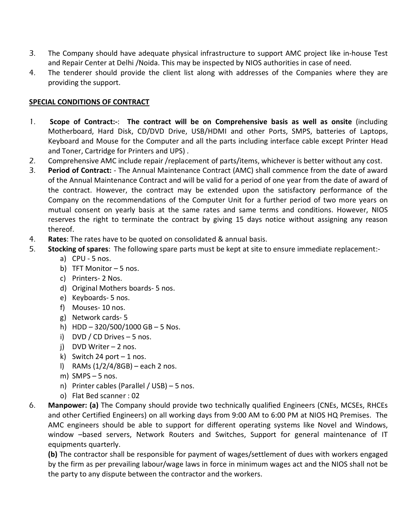- 3. The Company should have adequate physical infrastructure to support AMC project like in-house Test and Repair Center at Delhi /Noida. This may be inspected by NIOS authorities in case of need.
- 4. The tenderer should provide the client list along with addresses of the Companies where they are providing the support.

## SPECIAL CONDITIONS OF CONTRACT

- 1. Scope of Contract:-: The contract will be on Comprehensive basis as well as onsite (including Motherboard, Hard Disk, CD/DVD Drive, USB/HDMI and other Ports, SMPS, batteries of Laptops, Keyboard and Mouse for the Computer and all the parts including interface cable except Printer Head and Toner, Cartridge for Printers and UPS) .
- 2. Comprehensive AMC include repair /replacement of parts/items, whichever is better without any cost.
- 3. Period of Contract: The Annual Maintenance Contract (AMC) shall commence from the date of award of the Annual Maintenance Contract and will be valid for a period of one year from the date of award of the contract. However, the contract may be extended upon the satisfactory performance of the Company on the recommendations of the Computer Unit for a further period of two more years on mutual consent on yearly basis at the same rates and same terms and conditions. However, NIOS reserves the right to terminate the contract by giving 15 days notice without assigning any reason thereof.
- 4. Rates: The rates have to be quoted on consolidated & annual basis.
- 5. Stocking of spares: The following spare parts must be kept at site to ensure immediate replacement:
	- a) CPU 5 nos.
	- b) TFT Monitor 5 nos.
	- c) Printers- 2 Nos.
	- d) Original Mothers boards- 5 nos.
	- e) Keyboards- 5 nos.
	- f) Mouses- 10 nos.
	- g) Network cards- 5
	- h) HDD  $-320/500/1000$  GB  $-5$  Nos.
	- i) DVD / CD Drives 5 nos.
	- j) DVD Writer 2 nos.
	- k) Switch 24 port  $-1$  nos.
	- l) RAMs (1/2/4/8GB) each 2 nos.
	- m) SMPS  $-5$  nos.
	- n) Printer cables (Parallel / USB) 5 nos.
	- o) Flat Bed scanner : 02
- 6. Manpower: (a) The Company should provide two technically qualified Engineers (CNEs, MCSEs, RHCEs and other Certified Engineers) on all working days from 9:00 AM to 6:00 PM at NIOS HQ Premises. The AMC engineers should be able to support for different operating systems like Novel and Windows, window –based servers, Network Routers and Switches, Support for general maintenance of IT equipments quarterly.

(b) The contractor shall be responsible for payment of wages/settlement of dues with workers engaged by the firm as per prevailing labour/wage laws in force in minimum wages act and the NIOS shall not be the party to any dispute between the contractor and the workers.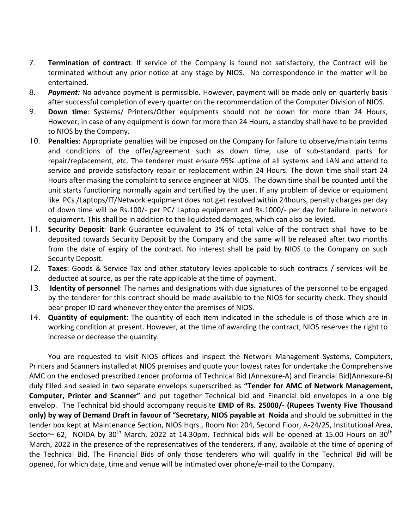- 7. Termination of contract: If service of the Company is found not satisfactory, the Contract will be terminated without any prior notice at any stage by NIOS. No correspondence in the matter will be entertained.
- 8. Payment: No advance payment is permissible. However, payment will be made only on quarterly basis after successful completion of every quarter on the recommendation of the Computer Division of NIOS.
- 9. Down time: Systems/ Printers/Other equipments should not be down for more than 24 Hours, However, in case of any equipment is down for more than 24 Hours, a standby shall have to be provided to NIOS by the Company.
- 10. Penalties: Appropriate penalties will be imposed on the Company for failure to observe/maintain terms and conditions of the offer/agreement such as down time, use of sub-standard parts for repair/replacement, etc. The tenderer must ensure 95% uptime of all systems and LAN and attend to service and provide satisfactory repair or replacement within 24 Hours. The down time shall start 24 Hours after making the complaint to service engineer at NIOS. The down time shall be counted until the unit starts functioning normally again and certified by the user. If any problem of device or equipment like PCs /Laptops/IT/Network equipment does not get resolved within 24hours, penalty charges per day of down time will be Rs.100/- per PC/ Laptop equipment and Rs.1000/- per day for failure in network equipment. This shall be in addition to the liquidated damages, which can also be levied.
- 11. Security Deposit: Bank Guarantee equivalent to 3% of total value of the contract shall have to be deposited towards Security Deposit by the Company and the same will be released after two months from the date of expiry of the contract. No interest shall be paid by NIOS to the Company on such Security Deposit.
- 12. Taxes: Goods & Service Tax and other statutory levies applicable to such contracts / services will be deducted at source, as per the rate applicable at the time of payment.
- 13. Identity of personnel: The names and designations with due signatures of the personnel to be engaged by the tenderer for this contract should be made available to the NIOS for security check. They should bear proper ID card whenever they enter the premises of NIOS.
- 14. **Quantity of equipment**: The quantity of each item indicated in the schedule is of those which are in working condition at present. However, at the time of awarding the contract, NIOS reserves the right to increase or decrease the quantity.

You are requested to visit NIOS offices and inspect the Network Management Systems, Computers, Printers and Scanners installed at NIOS premises and quote your lowest rates for undertake the Comprehensive AMC on the enclosed prescribed tender proforma of Technical Bid (Annexure-A) and Financial Bid(Annexure-B) duly filled and sealed in two separate envelops superscribed as "Tender for AMC of Network Management, Computer, Printer and Scanner" and put together Technical bid and Financial bid envelopes in a one big envelop. The Technical bid should accompany requisite EMD of Rs. 25000/- (Rupees Twenty Five Thousand only) by way of Demand Draft in favour of "Secretary, NIOS payable at Noida and should be submitted in the tender box kept at Maintenance Section, NIOS Hqrs., Room No: 204, Second Floor, A-24/25, Institutional Area, Sector– 62, NOIDA by  $30<sup>th</sup>$  March, 2022 at 14.30pm. Technical bids will be opened at 15.00 Hours on  $30<sup>th</sup>$ March, 2022 in the presence of the representatives of the tenderers, if any, available at the time of opening of the Technical Bid. The Financial Bids of only those tenderers who will qualify in the Technical Bid will be opened, for which date, time and venue will be intimated over phone/e-mail to the Company.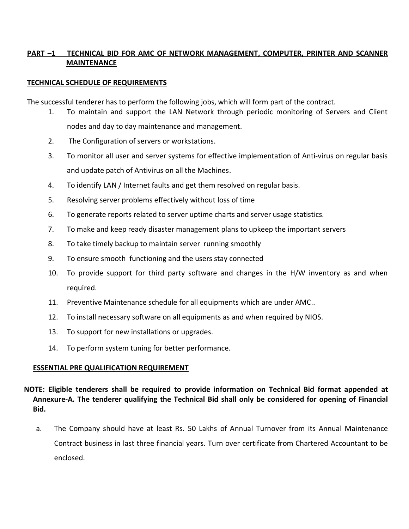## PART –1 TECHNICAL BID FOR AMC OF NETWORK MANAGEMENT, COMPUTER, PRINTER AND SCANNER MAINTENANCE

## TECHNICAL SCHEDULE OF REQUIREMENTS

The successful tenderer has to perform the following jobs, which will form part of the contract.

- 1. To maintain and support the LAN Network through periodic monitoring of Servers and Client nodes and day to day maintenance and management.
- 2. The Configuration of servers or workstations.
- 3. To monitor all user and server systems for effective implementation of Anti-virus on regular basis and update patch of Antivirus on all the Machines.
- 4. To identify LAN / Internet faults and get them resolved on regular basis.
- 5. Resolving server problems effectively without loss of time
- 6. To generate reports related to server uptime charts and server usage statistics.
- 7. To make and keep ready disaster management plans to upkeep the important servers
- 8. To take timely backup to maintain server running smoothly
- 9. To ensure smooth functioning and the users stay connected
- 10. To provide support for third party software and changes in the H/W inventory as and when required.
- 11. Preventive Maintenance schedule for all equipments which are under AMC..
- 12. To install necessary software on all equipments as and when required by NIOS.
- 13. To support for new installations or upgrades.
- 14. To perform system tuning for better performance.

#### ESSENTIAL PRE QUALIFICATION REQUIREMENT

## NOTE: Eligible tenderers shall be required to provide information on Technical Bid format appended at Annexure-A. The tenderer qualifying the Technical Bid shall only be considered for opening of Financial Bid.

a. The Company should have at least Rs. 50 Lakhs of Annual Turnover from its Annual Maintenance Contract business in last three financial years. Turn over certificate from Chartered Accountant to be enclosed.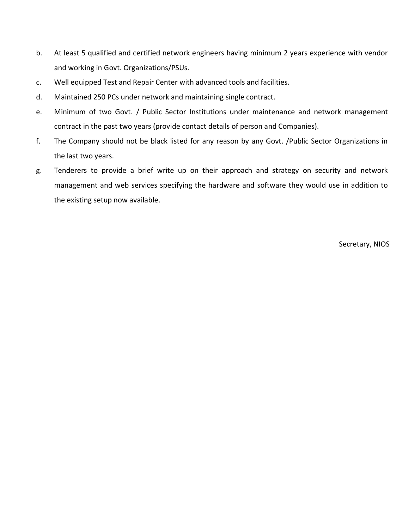- b. At least 5 qualified and certified network engineers having minimum 2 years experience with vendor and working in Govt. Organizations/PSUs.
- c. Well equipped Test and Repair Center with advanced tools and facilities.
- d. Maintained 250 PCs under network and maintaining single contract.
- e. Minimum of two Govt. / Public Sector Institutions under maintenance and network management contract in the past two years (provide contact details of person and Companies).
- f. The Company should not be black listed for any reason by any Govt. /Public Sector Organizations in the last two years.
- g. Tenderers to provide a brief write up on their approach and strategy on security and network management and web services specifying the hardware and software they would use in addition to the existing setup now available.

Secretary, NIOS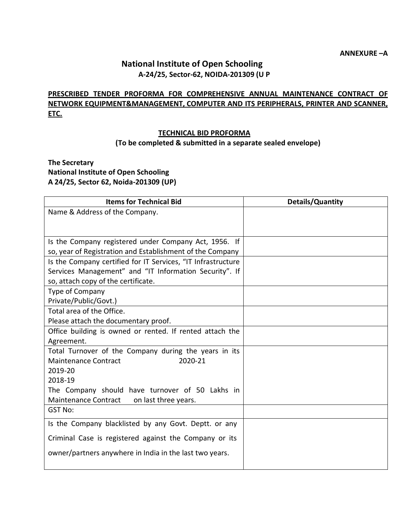# National Institute of Open Schooling A-24/25, Sector-62, NOIDA-201309 (U P

## PRESCRIBED TENDER PROFORMA FOR COMPREHENSIVE ANNUAL MAINTENANCE CONTRACT OF NETWORK EQUIPMENT&MANAGEMENT, COMPUTER AND ITS PERIPHERALS, PRINTER AND SCANNER, ETC.

#### TECHNICAL BID PROFORMA (To be completed & submitted in a separate sealed envelope)

## The Secretary National Institute of Open Schooling A 24/25, Sector 62, Noida-201309 (UP)

| <b>Items for Technical Bid</b>                               | <b>Details/Quantity</b> |
|--------------------------------------------------------------|-------------------------|
| Name & Address of the Company.                               |                         |
|                                                              |                         |
|                                                              |                         |
| Is the Company registered under Company Act, 1956. If        |                         |
| so, year of Registration and Establishment of the Company    |                         |
| Is the Company certified for IT Services, "IT Infrastructure |                         |
| Services Management" and "IT Information Security". If       |                         |
| so, attach copy of the certificate.                          |                         |
| Type of Company                                              |                         |
| Private/Public/Govt.)                                        |                         |
| Total area of the Office.                                    |                         |
| Please attach the documentary proof.                         |                         |
| Office building is owned or rented. If rented attach the     |                         |
| Agreement.                                                   |                         |
| Total Turnover of the Company during the years in its        |                         |
| 2020-21<br><b>Maintenance Contract</b>                       |                         |
| 2019-20                                                      |                         |
| 2018-19                                                      |                         |
| The Company should have turnover of 50 Lakhs in              |                         |
| <b>Maintenance Contract</b><br>on last three years.          |                         |
| <b>GST No:</b>                                               |                         |
| Is the Company blacklisted by any Govt. Deptt. or any        |                         |
| Criminal Case is registered against the Company or its       |                         |
| owner/partners anywhere in India in the last two years.      |                         |
|                                                              |                         |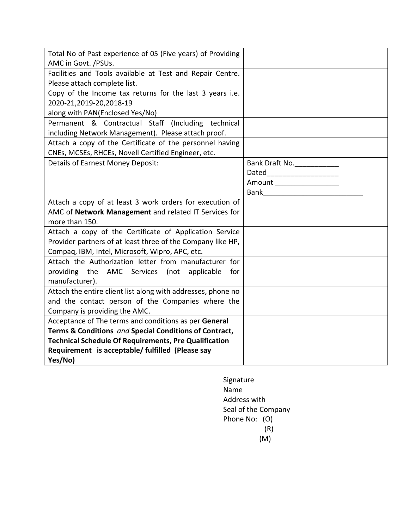| Total No of Past experience of 05 (Five years) of Providing  |                             |
|--------------------------------------------------------------|-----------------------------|
| AMC in Govt. /PSUs.                                          |                             |
| Facilities and Tools available at Test and Repair Centre.    |                             |
| Please attach complete list.                                 |                             |
| Copy of the Income tax returns for the last 3 years i.e.     |                             |
| 2020-21,2019-20,2018-19                                      |                             |
| along with PAN(Enclosed Yes/No)                              |                             |
| Permanent & Contractual Staff (Including technical           |                             |
| including Network Management). Please attach proof.          |                             |
| Attach a copy of the Certificate of the personnel having     |                             |
| CNEs, MCSEs, RHCEs, Novell Certified Engineer, etc.          |                             |
| Details of Earnest Money Deposit:                            | Bank Draft No.              |
|                                                              | Dated______________________ |
|                                                              | Amount ____________________ |
|                                                              | Bank                        |
| Attach a copy of at least 3 work orders for execution of     |                             |
| AMC of Network Management and related IT Services for        |                             |
| more than 150.                                               |                             |
| Attach a copy of the Certificate of Application Service      |                             |
| Provider partners of at least three of the Company like HP,  |                             |
| Compaq, IBM, Intel, Microsoft, Wipro, APC, etc.              |                             |
| Attach the Authorization letter from manufacturer for        |                             |
| providing the AMC Services (not applicable<br>for            |                             |
| manufacturer).                                               |                             |
| Attach the entire client list along with addresses, phone no |                             |
| and the contact person of the Companies where the            |                             |
| Company is providing the AMC.                                |                             |
| Acceptance of The terms and conditions as per General        |                             |
| Terms & Conditions and Special Conditions of Contract,       |                             |
| <b>Technical Schedule Of Requirements, Pre Qualification</b> |                             |
| Requirement is acceptable/ fulfilled (Please say             |                             |
| Yes/No)                                                      |                             |

Signature Name Address with Seal of the Company Phone No: (O) (R) (M)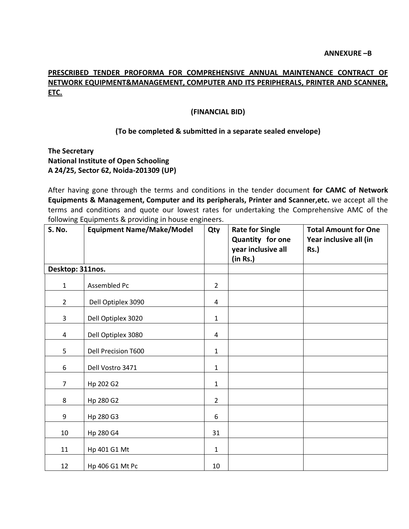## PRESCRIBED TENDER PROFORMA FOR COMPREHENSIVE ANNUAL MAINTENANCE CONTRACT OF NETWORK EQUIPMENT&MANAGEMENT, COMPUTER AND ITS PERIPHERALS, PRINTER AND SCANNER, ETC.

#### (FINANCIAL BID)

#### (To be completed & submitted in a separate sealed envelope)

#### The Secretary National Institute of Open Schooling A 24/25, Sector 62, Noida-201309 (UP)

After having gone through the terms and conditions in the tender document for CAMC of Network Equipments & Management, Computer and its peripherals, Printer and Scanner,etc. we accept all the terms and conditions and quote our lowest rates for undertaking the Comprehensive AMC of the following Equipments & providing in house engineers.

| S. No.           | <b>Equipment Name/Make/Model</b> | Qty            | <b>Rate for Single</b><br>Quantity for one<br>year inclusive all<br>(in Rs.) | <b>Total Amount for One</b><br>Year inclusive all (in<br>Rs.) |
|------------------|----------------------------------|----------------|------------------------------------------------------------------------------|---------------------------------------------------------------|
| Desktop: 311nos. |                                  |                |                                                                              |                                                               |
| $\mathbf{1}$     | Assembled Pc                     | $\overline{2}$ |                                                                              |                                                               |
| $\overline{2}$   | Dell Optiplex 3090               | 4              |                                                                              |                                                               |
| $\mathbf{3}$     | Dell Optiplex 3020               | $\mathbf{1}$   |                                                                              |                                                               |
| 4                | Dell Optiplex 3080               | $\overline{4}$ |                                                                              |                                                               |
| 5                | Dell Precision T600              | $\mathbf{1}$   |                                                                              |                                                               |
| 6                | Dell Vostro 3471                 | $\mathbf{1}$   |                                                                              |                                                               |
| $\overline{7}$   | Hp 202 G2                        | $\mathbf{1}$   |                                                                              |                                                               |
| 8                | Hp 280 G2                        | $\overline{2}$ |                                                                              |                                                               |
| 9                | Hp 280 G3                        | 6              |                                                                              |                                                               |
| 10               | Hp 280 G4                        | 31             |                                                                              |                                                               |
| 11               | Hp 401 G1 Mt                     | 1              |                                                                              |                                                               |
| 12               | Hp 406 G1 Mt Pc                  | 10             |                                                                              |                                                               |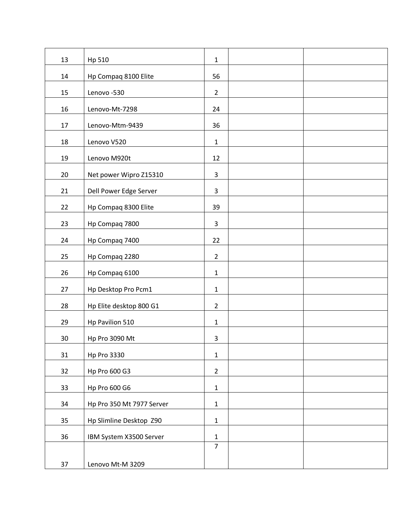| 13 | Hp 510                    | $\mathbf 1$    |  |
|----|---------------------------|----------------|--|
| 14 | Hp Compaq 8100 Elite      | 56             |  |
| 15 | Lenovo-530                | $\overline{2}$ |  |
| 16 | Lenovo-Mt-7298            | 24             |  |
| 17 | Lenovo-Mtm-9439           | 36             |  |
| 18 | Lenovo V520               | $\mathbf{1}$   |  |
| 19 | Lenovo M920t              | 12             |  |
| 20 | Net power Wipro Z15310    | 3              |  |
| 21 | Dell Power Edge Server    | $\mathbf{3}$   |  |
| 22 | Hp Compaq 8300 Elite      | 39             |  |
| 23 | Hp Compaq 7800            | $\mathbf{3}$   |  |
| 24 | Hp Compaq 7400            | 22             |  |
| 25 | Hp Compaq 2280            | $\overline{2}$ |  |
| 26 | Hp Compaq 6100            | $\mathbf 1$    |  |
| 27 | Hp Desktop Pro Pcm1       | $\mathbf 1$    |  |
| 28 | Hp Elite desktop 800 G1   | $\overline{2}$ |  |
| 29 | Hp Pavilion 510           | $\mathbf 1$    |  |
| 30 | Hp Pro 3090 Mt            | $\mathsf 3$    |  |
| 31 | <b>Hp Pro 3330</b>        | $\mathbf{1}$   |  |
| 32 | Hp Pro 600 G3             | $\overline{2}$ |  |
| 33 | Hp Pro 600 G6             | $\mathbf 1$    |  |
| 34 | Hp Pro 350 Mt 7977 Server | $\mathbf{1}$   |  |
| 35 | Hp Slimline Desktop Z90   | $\mathbf 1$    |  |
| 36 | IBM System X3500 Server   | $\mathbf 1$    |  |
|    |                           | $\overline{7}$ |  |
| 37 | Lenovo Mt-M 3209          |                |  |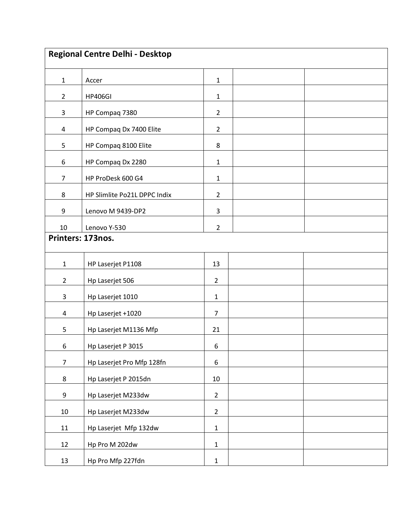|                   | <b>Regional Centre Delhi - Desktop</b> |                  |  |  |  |
|-------------------|----------------------------------------|------------------|--|--|--|
|                   |                                        |                  |  |  |  |
| $\mathbf{1}$      | Accer                                  | $\mathbf{1}$     |  |  |  |
| $2^{\circ}$       | <b>HP406GI</b>                         | $\mathbf 1$      |  |  |  |
| 3                 | HP Compaq 7380                         | $\overline{2}$   |  |  |  |
| $\overline{4}$    | HP Compaq Dx 7400 Elite                | $\overline{2}$   |  |  |  |
| 5                 | HP Compaq 8100 Elite                   | 8                |  |  |  |
| 6                 | HP Compaq Dx 2280                      | $\mathbf 1$      |  |  |  |
| $\overline{7}$    | HP ProDesk 600 G4                      | $\mathbf 1$      |  |  |  |
| 8                 | HP Slimlite Po21L DPPC Indix           | $\overline{2}$   |  |  |  |
| 9                 | Lenovo M 9439-DP2                      | 3                |  |  |  |
| 10                | Lenovo Y-530                           | $\overline{2}$   |  |  |  |
| Printers: 173nos. |                                        |                  |  |  |  |
| $\mathbf{1}$      | HP Laserjet P1108                      | 13               |  |  |  |
|                   |                                        |                  |  |  |  |
| $\overline{2}$    | Hp Laserjet 506                        | $\overline{2}$   |  |  |  |
| 3                 | Hp Laserjet 1010                       | $\mathbf 1$      |  |  |  |
| $\overline{4}$    | Hp Laserjet +1020                      | $\overline{7}$   |  |  |  |
| 5                 | Hp Laserjet M1136 Mfp                  | 21               |  |  |  |
| 6                 | Hp Laserjet P 3015                     | $\boldsymbol{6}$ |  |  |  |
| $\overline{7}$    | Hp Laserjet Pro Mfp 128fn              | 6                |  |  |  |
| 8                 | Hp Laserjet P 2015dn                   | $10\,$           |  |  |  |
| 9                 | Hp Laserjet M233dw                     | $\overline{2}$   |  |  |  |
| $10\,$            | Hp Laserjet M233dw                     | $\overline{2}$   |  |  |  |
| 11                | Hp Laserjet Mfp 132dw                  | $\mathbf 1$      |  |  |  |
| 12                | Hp Pro M 202dw                         | $\mathbf 1$      |  |  |  |
| 13                | Hp Pro Mfp 227fdn                      | $\mathbf 1$      |  |  |  |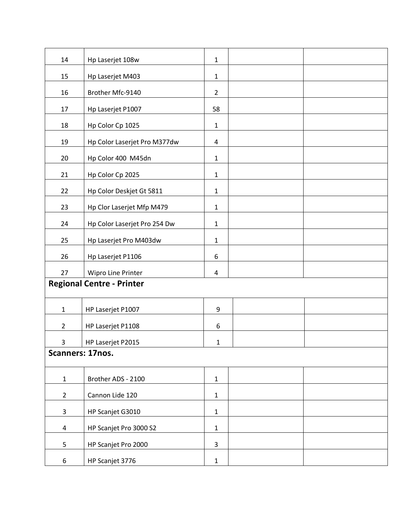| 14                               | Hp Laserjet 108w             | $\mathbf 1$             |  |  |  |
|----------------------------------|------------------------------|-------------------------|--|--|--|
| 15                               | Hp Laserjet M403             | $\mathbf 1$             |  |  |  |
| 16                               | Brother Mfc-9140             | $\overline{2}$          |  |  |  |
| 17                               | Hp Laserjet P1007            | 58                      |  |  |  |
| 18                               | Hp Color Cp 1025             | $\mathbf 1$             |  |  |  |
| 19                               | Hp Color Laserjet Pro M377dw | $\overline{\mathbf{r}}$ |  |  |  |
| 20                               | Hp Color 400 M45dn           | $\mathbf 1$             |  |  |  |
| 21                               | Hp Color Cp 2025             | $\mathbf{1}$            |  |  |  |
| 22                               | Hp Color Deskjet Gt 5811     | $\mathbf 1$             |  |  |  |
| 23                               | Hp Clor Laserjet Mfp M479    | $\mathbf 1$             |  |  |  |
| 24                               | Hp Color Laserjet Pro 254 Dw | $\mathbf 1$             |  |  |  |
| 25                               | Hp Laserjet Pro M403dw       | $\mathbf 1$             |  |  |  |
| 26                               | Hp Laserjet P1106            | $6\,$                   |  |  |  |
| 27                               | Wipro Line Printer           | $\overline{\mathbf{r}}$ |  |  |  |
| <b>Regional Centre - Printer</b> |                              |                         |  |  |  |
| $\mathbf{1}$                     | HP Laserjet P1007            | 9                       |  |  |  |
| $2^{\circ}$                      | HP Laserjet P1108            | 6                       |  |  |  |
| 3                                | HP Laserjet P2015            | $\mathbf 1$             |  |  |  |
| Scanners: 17nos.                 |                              |                         |  |  |  |
| $1\,$                            | Brother ADS - 2100           | $\mathbf{1}$            |  |  |  |
| $\overline{2}$                   | Cannon Lide 120              | $\mathbf 1$             |  |  |  |
| 3                                | HP Scanjet G3010             | $\mathbf{1}$            |  |  |  |
| 4                                | HP Scanjet Pro 3000 S2       | $\mathbf 1$             |  |  |  |
| 5                                | HP Scanjet Pro 2000          | 3                       |  |  |  |
| 6                                | HP Scanjet 3776              | $\mathbf{1}$            |  |  |  |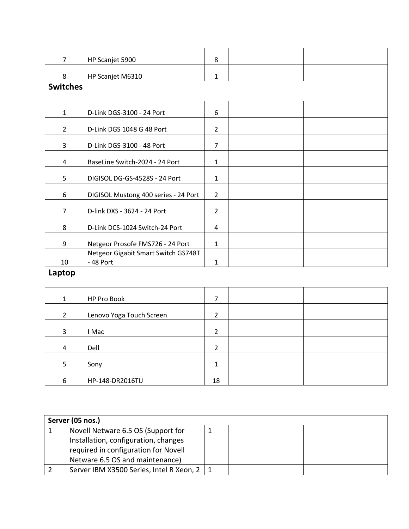| $\overline{7}$  | HP Scanjet 5900                                  | 8                       |  |  |  |
|-----------------|--------------------------------------------------|-------------------------|--|--|--|
| 8               | HP Scanjet M6310                                 | $\mathbf 1$             |  |  |  |
| <b>Switches</b> |                                                  |                         |  |  |  |
|                 |                                                  |                         |  |  |  |
| $\mathbf 1$     | D-Link DGS-3100 - 24 Port                        | 6                       |  |  |  |
| $\overline{2}$  | D-Link DGS 1048 G 48 Port                        | $\overline{2}$          |  |  |  |
| 3               | D-Link DGS-3100 - 48 Port                        | $\overline{7}$          |  |  |  |
| $\overline{4}$  | BaseLine Switch-2024 - 24 Port                   | $\mathbf{1}$            |  |  |  |
| 5               | DIGISOL DG-GS-4528S - 24 Port                    | $\mathbf{1}$            |  |  |  |
| 6               | DIGISOL Mustong 400 series - 24 Port             | $\overline{2}$          |  |  |  |
| $\overline{7}$  | D-link DXS - 3624 - 24 Port                      | $\overline{2}$          |  |  |  |
| 8               | D-Link DCS-1024 Switch-24 Port                   | $\overline{\mathbf{4}}$ |  |  |  |
| 9               | Netgeor Prosofe FMS726 - 24 Port                 | $\mathbf{1}$            |  |  |  |
| 10              | Netgeor Gigabit Smart Switch GS748T<br>- 48 Port | $\mathbf{1}$            |  |  |  |
| Laptop          |                                                  |                         |  |  |  |
|                 |                                                  |                         |  |  |  |
| $\mathbf{1}$    | HP Pro Book                                      | $\overline{7}$          |  |  |  |
| $\overline{2}$  | Lenovo Yoga Touch Screen                         | $\overline{2}$          |  |  |  |
| 3               | I Mac                                            | $\overline{2}$          |  |  |  |
| 4               | Dell                                             | $\overline{2}$          |  |  |  |
| 5               | Sony                                             | $\mathbf{1}$            |  |  |  |
| 6               | HP-148-DR2016TU                                  | 18                      |  |  |  |

| Server (05 nos.)                             |  |  |  |
|----------------------------------------------|--|--|--|
| Novell Netware 6.5 OS (Support for           |  |  |  |
| Installation, configuration, changes         |  |  |  |
| required in configuration for Novell         |  |  |  |
| Netware 6.5 OS and maintenance)              |  |  |  |
| Server IBM X3500 Series, Intel R Xeon, 2   1 |  |  |  |